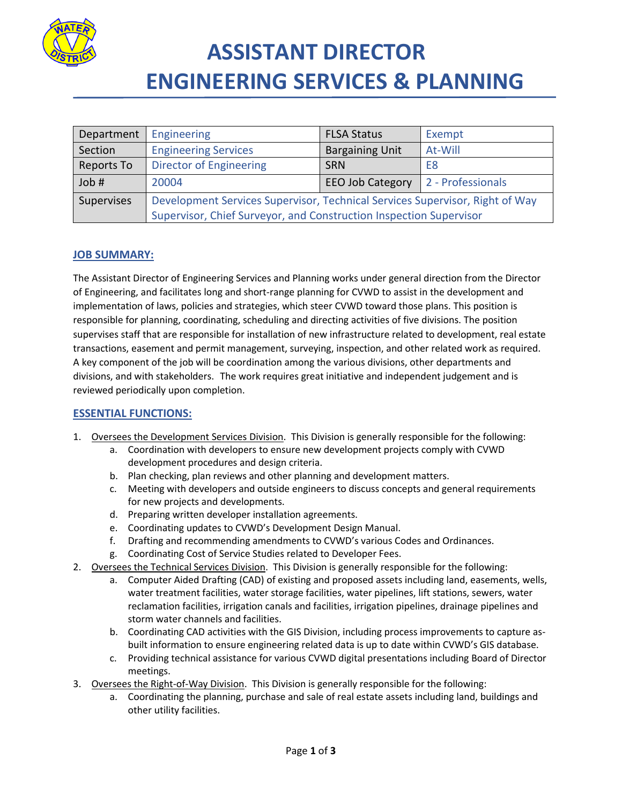

## **ASSISTANT DIRECTOR ENGINEERING SERVICES & PLANNING**

| Department | Engineering                                                                  | <b>FLSA Status</b>      | Exempt            |
|------------|------------------------------------------------------------------------------|-------------------------|-------------------|
| Section    | <b>Engineering Services</b>                                                  | <b>Bargaining Unit</b>  | At-Will           |
| Reports To | <b>Director of Engineering</b>                                               | <b>SRN</b>              | E8                |
| Job #      | 20004                                                                        | <b>EEO Job Category</b> | 2 - Professionals |
| Supervises | Development Services Supervisor, Technical Services Supervisor, Right of Way |                         |                   |
|            | Supervisor, Chief Surveyor, and Construction Inspection Supervisor           |                         |                   |

## **JOB SUMMARY:**

The Assistant Director of Engineering Services and Planning works under general direction from the Director of Engineering, and facilitates long and short-range planning for CVWD to assist in the development and implementation of laws, policies and strategies, which steer CVWD toward those plans. This position is responsible for planning, coordinating, scheduling and directing activities of five divisions. The position supervises staff that are responsible for installation of new infrastructure related to development, real estate transactions, easement and permit management, surveying, inspection, and other related work as required. A key component of the job will be coordination among the various divisions, other departments and divisions, and with stakeholders. The work requires great initiative and independent judgement and is reviewed periodically upon completion.

### **ESSENTIAL FUNCTIONS:**

- 1. Oversees the Development Services Division. This Division is generally responsible for the following:
	- a. Coordination with developers to ensure new development projects comply with CVWD development procedures and design criteria.
	- b. Plan checking, plan reviews and other planning and development matters.
	- c. Meeting with developers and outside engineers to discuss concepts and general requirements for new projects and developments.
	- d. Preparing written developer installation agreements.
	- e. Coordinating updates to CVWD's Development Design Manual.
	- f. Drafting and recommending amendments to CVWD's various Codes and Ordinances.
	- g. Coordinating Cost of Service Studies related to Developer Fees.
- 2. Oversees the Technical Services Division. This Division is generally responsible for the following:
	- a. Computer Aided Drafting (CAD) of existing and proposed assets including land, easements, wells, water treatment facilities, water storage facilities, water pipelines, lift stations, sewers, water reclamation facilities, irrigation canals and facilities, irrigation pipelines, drainage pipelines and storm water channels and facilities.
	- b. Coordinating CAD activities with the GIS Division, including process improvements to capture asbuilt information to ensure engineering related data is up to date within CVWD's GIS database.
	- c. Providing technical assistance for various CVWD digital presentations including Board of Director meetings.
- 3. Oversees the Right-of-Way Division. This Division is generally responsible for the following:
	- a. Coordinating the planning, purchase and sale of real estate assets including land, buildings and other utility facilities.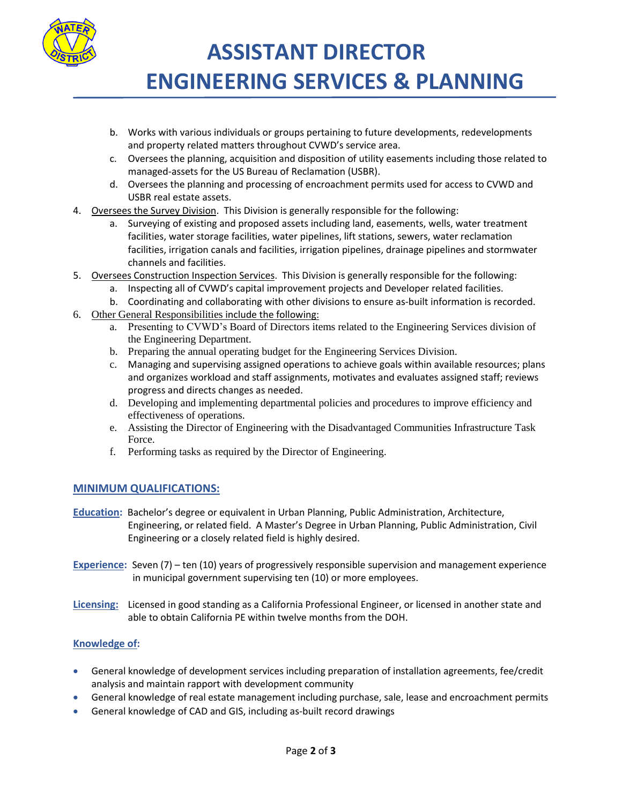

 **ASSISTANT DIRECTOR ENGINEERING SERVICES & PLANNING** 

- b. Works with various individuals or groups pertaining to future developments, redevelopments and property related matters throughout CVWD's service area.
- c. Oversees the planning, acquisition and disposition of utility easements including those related to managed-assets for the US Bureau of Reclamation (USBR).
- d. Oversees the planning and processing of encroachment permits used for access to CVWD and USBR real estate assets.
- 4. Oversees the Survey Division. This Division is generally responsible for the following:
	- Surveying of existing and proposed assets including land, easements, wells, water treatment facilities, water storage facilities, water pipelines, lift stations, sewers, water reclamation facilities, irrigation canals and facilities, irrigation pipelines, drainage pipelines and stormwater channels and facilities.
- 5. Oversees Construction Inspection Services. This Division is generally responsible for the following:
	- a. Inspecting all of CVWD's capital improvement projects and Developer related facilities.
	- b. Coordinating and collaborating with other divisions to ensure as-built information is recorded.
- 6. Other General Responsibilities include the following:
	- a. Presenting to CVWD's Board of Directors items related to the Engineering Services division of the Engineering Department.
	- b. Preparing the annual operating budget for the Engineering Services Division.
	- c. Managing and supervising assigned operations to achieve goals within available resources; plans and organizes workload and staff assignments, motivates and evaluates assigned staff; reviews progress and directs changes as needed.
	- d. Developing and implementing departmental policies and procedures to improve efficiency and effectiveness of operations.
	- e. Assisting the Director of Engineering with the Disadvantaged Communities Infrastructure Task Force.
	- f. Performing tasks as required by the Director of Engineering.

### **MINIMUM QUALIFICATIONS:**

- **Education:** Bachelor's degree or equivalent in Urban Planning, Public Administration, Architecture, Engineering, or related field. A Master's Degree in Urban Planning, Public Administration, Civil Engineering or a closely related field is highly desired.
- **Experience:** Seven (7) ten (10) years of progressively responsible supervision and management experience in municipal government supervising ten (10) or more employees.
- **Licensing:** Licensed in good standing as a California Professional Engineer, or licensed in another state and able to obtain California PE within twelve months from the DOH.

### **Knowledge of:**

- General knowledge of development services including preparation of installation agreements, fee/credit analysis and maintain rapport with development community
- General knowledge of real estate management including purchase, sale, lease and encroachment permits
- General knowledge of CAD and GIS, including as-built record drawings